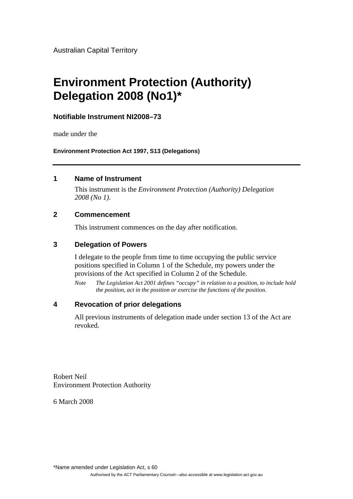Australian Capital Territory

# **Environment Protection (Authority) Delegation 2008 (No1)\***

## **Notifiable Instrument NI2008–73**

made under the

**Environment Protection Act 1997, S13 (Delegations)** 

### **1 Name of Instrument**

This instrument is the *Environment Protection (Authority) Delegation 2008 (No 1)*.

#### **2 Commencement**

This instrument commences on the day after notification.

## **3 Delegation of Powers**

I delegate to the people from time to time occupying the public service positions specified in Column 1 of the Schedule, my powers under the provisions of the Act specified in Column 2 of the Schedule.

*Note The Legislation Act 2001 defines "occupy" in relation to a position, to include hold the position, act in the position or exercise the functions of the position.* 

## **4 Revocation of prior delegations**

All previous instruments of delegation made under section 13 of the Act are revoked.

Robert Neil Environment Protection Authority

6 March 2008